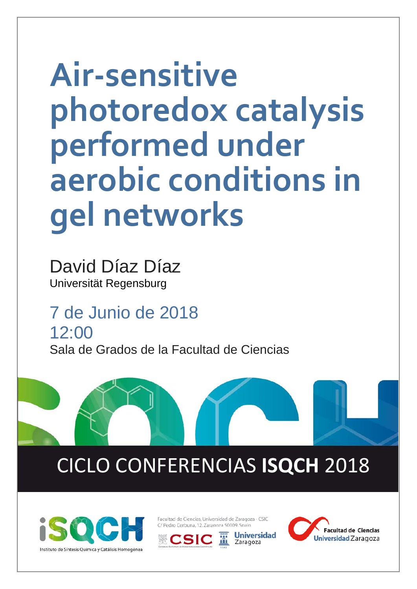## **Air-sensitive photoredox catalysis performed under aerobic conditions in gel networks**

David Díaz Díaz Universität Regensburg

7 de Junio de 2018 12:00 Sala de Grados de la Facultad de Ciencias

## CICLO CONFERENCIAS **ISQCH** 2018



Facultad de Ciencias. Universidad de Zaragoza - CSIC C/ Pedro Cerbuna, 12, Zaragoza 50009, Spain

**Jniversidad**